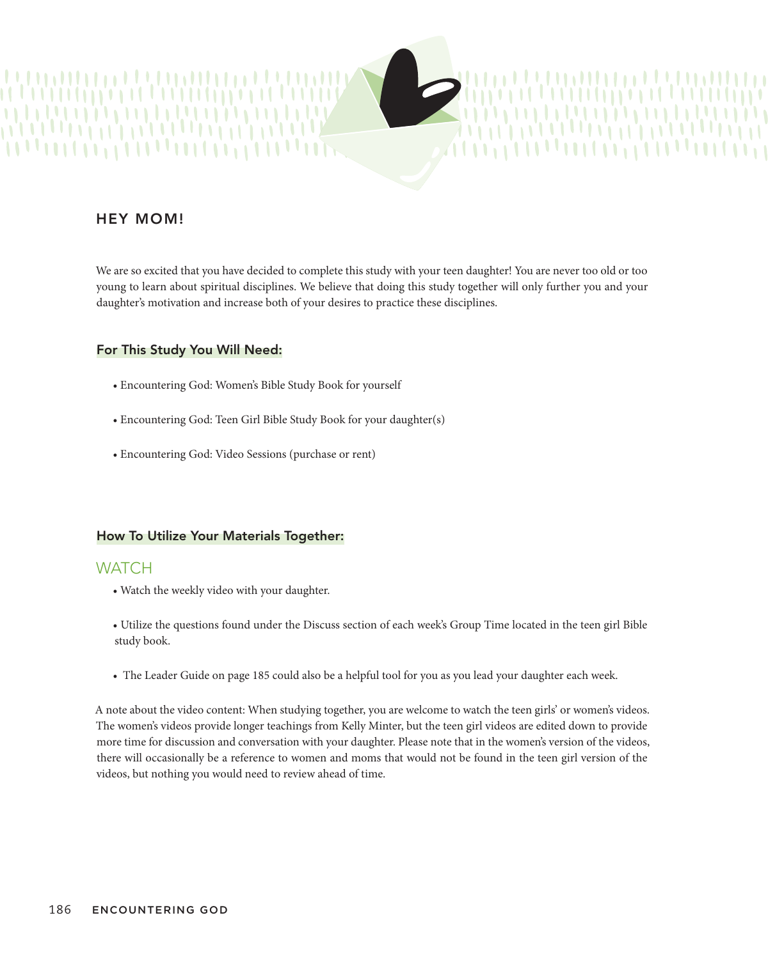

We are so excited that you have decided to complete this study with your teen daughter! You are never too old or too young to learn about spiritual disciplines. We believe that doing this study together will only further you and your daughter's motivation and increase both of your desires to practice these disciplines.

#### For This Study You Will Need:

- Encountering God: Women's Bible Study Book for yourself
- Encountering God: Teen Girl Bible Study Book for your daughter(s) ok for your daughter(s)
- Encountering God: Video Sessions (purchase or rent)

### How To Utilize Your Materials Together:

### **WATCH**

- Watch the weekly video with your daughter.
- Utilize the questions found under the Discuss section of each week's Group Time located in the teen girl Bible study book.
- The Leader Guide on page 185 could also be a helpful tool for you as you lead your daughter each week.

A note about the video content: When studying together, you are welcome to watch the teen girls' or women's videos. The women's videos provide longer teachings from Kelly Minter, but the teen girl videos are edited down to provide more time for discussion and conversation with your daughter. Please note that in the women's version of the videos, there will occasionally be a reference to women and moms that would not be found in the teen girl version of the videos, but nothing you would need to review ahead of time.